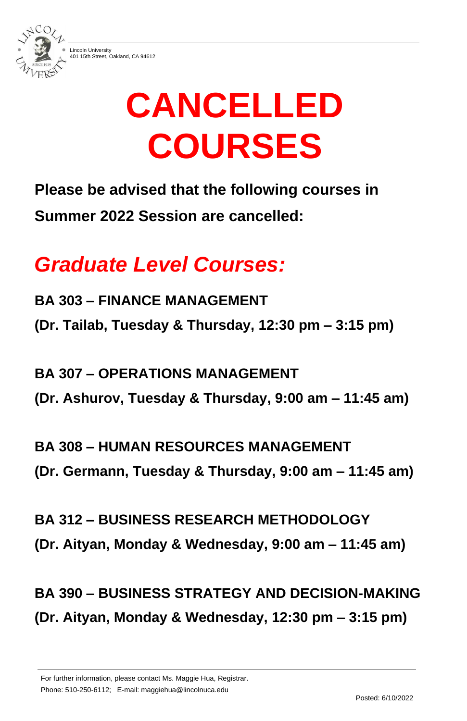

401 15th Street, Oakland, CA 94612

For further information, please contact Ms. Maggie Hua, Registrar.

Phone: 510-250-6112; E-mail: maggiehua@lincolnuca.edu

Posted: 6/10/2022

# **CANCELLED COURSES**

## **Please be advised that the following courses in Summer 2022 Session are cancelled:**

# *Graduate Level Courses:*

**BA 303 – FINANCE MANAGEMENT (Dr. Tailab, Tuesday & Thursday, 12:30 pm – 3:15 pm)**

**BA 307 – OPERATIONS MANAGEMENT (Dr. Ashurov, Tuesday & Thursday, 9:00 am – 11:45 am)**

**BA 308 – HUMAN RESOURCES MANAGEMENT (Dr. Germann, Tuesday & Thursday, 9:00 am – 11:45 am)**

**BA 312 – BUSINESS RESEARCH METHODOLOGY** 

#### **(Dr. Aityan, Monday & Wednesday, 9:00 am – 11:45 am)**

## **BA 390 – BUSINESS STRATEGY AND DECISION-MAKING (Dr. Aityan, Monday & Wednesday, 12:30 pm – 3:15 pm)**